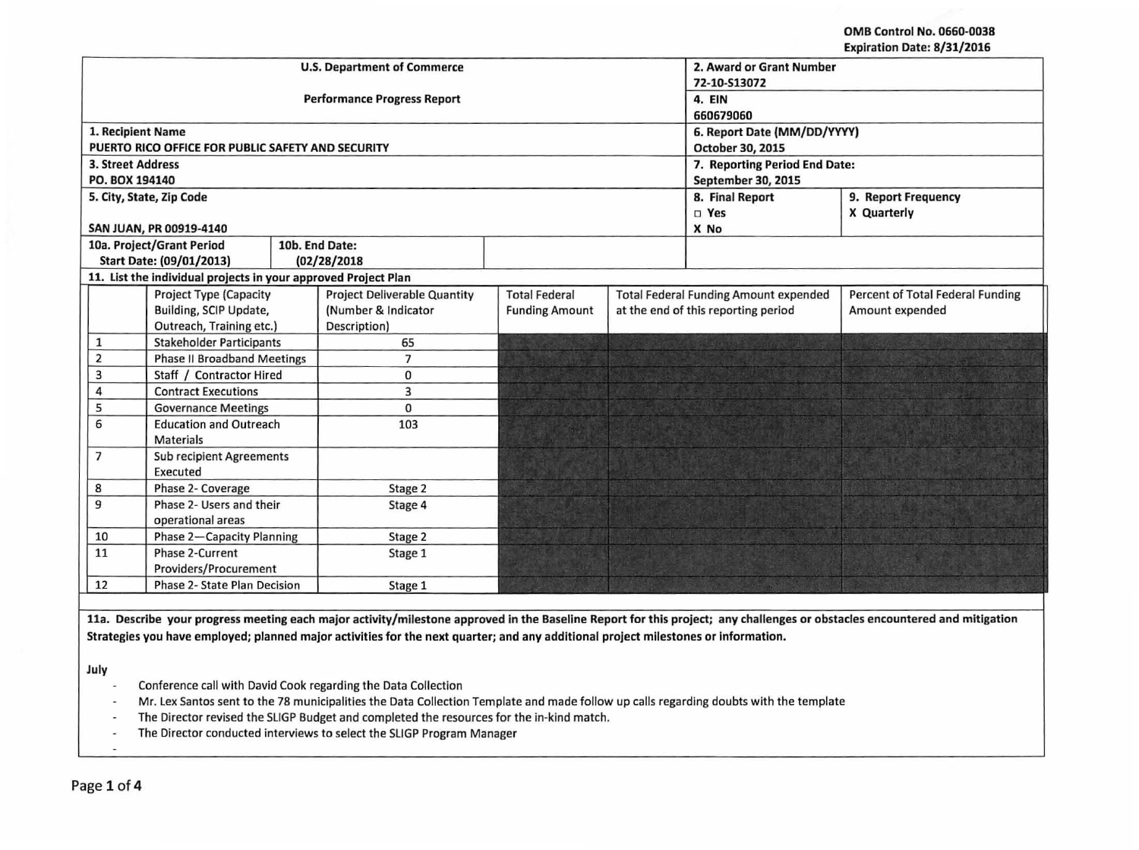OMB Control No. 0660-0038 Expiration Date: 8/31/2016

|                                    |                                                                |         | <b>U.S. Department of Commerce</b>  | 2. Award or Grant Number               |             |                                              |                                         |  |
|------------------------------------|----------------------------------------------------------------|---------|-------------------------------------|----------------------------------------|-------------|----------------------------------------------|-----------------------------------------|--|
|                                    |                                                                |         | <b>Performance Progress Report</b>  | 72-10-S13072<br>4. EIN                 |             |                                              |                                         |  |
|                                    |                                                                |         |                                     | 660679060                              |             |                                              |                                         |  |
| 1. Recipient Name                  |                                                                |         |                                     | 6. Report Date (MM/DD/YYYY)            |             |                                              |                                         |  |
|                                    | PUERTO RICO OFFICE FOR PUBLIC SAFETY AND SECURITY              |         |                                     | October 30, 2015                       |             |                                              |                                         |  |
| <b>3. Street Address</b>           |                                                                |         |                                     | 7. Reporting Period End Date:          |             |                                              |                                         |  |
| PO. BOX 194140                     |                                                                |         |                                     | September 30, 2015                     |             |                                              |                                         |  |
|                                    | 5. City, State, Zip Code                                       |         |                                     | 8. Final Report<br>9. Report Frequency |             |                                              |                                         |  |
|                                    |                                                                |         |                                     | □ Yes                                  | X Quarterly |                                              |                                         |  |
|                                    | SAN JUAN, PR 00919-4140                                        |         |                                     |                                        | X No        |                                              |                                         |  |
|                                    | 10a. Project/Grant Period                                      |         | 10b. End Date:                      |                                        |             |                                              |                                         |  |
|                                    | Start Date: (09/01/2013)                                       |         | (02/28/2018                         |                                        |             |                                              |                                         |  |
|                                    | 11. List the individual projects in your approved Project Plan |         |                                     |                                        |             |                                              |                                         |  |
|                                    | <b>Project Type (Capacity</b>                                  |         | <b>Project Deliverable Quantity</b> | <b>Total Federal</b>                   |             | <b>Total Federal Funding Amount expended</b> | <b>Percent of Total Federal Funding</b> |  |
|                                    | Building, SCIP Update,                                         |         | (Number & Indicator                 | <b>Funding Amount</b>                  |             | at the end of this reporting period          | Amount expended                         |  |
|                                    | Outreach, Training etc.)                                       |         | Description)                        |                                        |             |                                              |                                         |  |
| $\mathbf{1}$                       | <b>Stakeholder Participants</b>                                |         | 65                                  |                                        |             |                                              |                                         |  |
| $\overline{2}$                     | <b>Phase II Broadband Meetings</b>                             |         | $\overline{7}$                      |                                        |             |                                              |                                         |  |
| 3                                  | Staff / Contractor Hired                                       |         | 0                                   |                                        |             |                                              |                                         |  |
| 4                                  | <b>Contract Executions</b>                                     |         | 3                                   |                                        |             |                                              |                                         |  |
| 5                                  | <b>Governance Meetings</b>                                     |         | $\Omega$                            |                                        |             |                                              |                                         |  |
| 6                                  | <b>Education and Outreach</b><br><b>Materials</b>              |         | 103                                 |                                        |             |                                              |                                         |  |
| $\overline{7}$                     | <b>Sub recipient Agreements</b>                                |         |                                     |                                        |             |                                              |                                         |  |
| 8                                  | Executed<br>Phase 2- Coverage                                  |         | Stage 2                             |                                        |             |                                              |                                         |  |
| 9                                  | Phase 2- Users and their                                       |         | Stage 4                             |                                        |             |                                              |                                         |  |
|                                    | operational areas                                              |         |                                     |                                        |             |                                              |                                         |  |
| Phase 2-Capacity Planning<br>10    |                                                                | Stage 2 |                                     |                                        |             |                                              |                                         |  |
| 11                                 | Phase 2-Current<br>Providers/Procurement                       |         | Stage 1                             |                                        |             |                                              |                                         |  |
| 12<br>Phase 2- State Plan Decision |                                                                |         | Stage 1                             |                                        |             |                                              |                                         |  |

lla. Describe your progress meeting each major activity/milestone approved in the Baseline Report for this project; any challenges or obstacles encountered and mitigation Strategies you have employed; planned major activities for the next quarter; and any additional project milestones or Information.

July

- Conference call with David Cook regarding the Data Collection  $\omega$
- Mr. Lex Santos sent to the 78 municipalities the Data Collection Template and made follow up calls regarding doubts with the template  $\sim$
- The Director revised the SLIGP Budget and completed the resources for the in-kind match.  $\sim$
- The Director conducted interviews to select the SLIGP Program Manager  $\tilde{\phantom{a}}$

 $\overline{\phantom{a}}$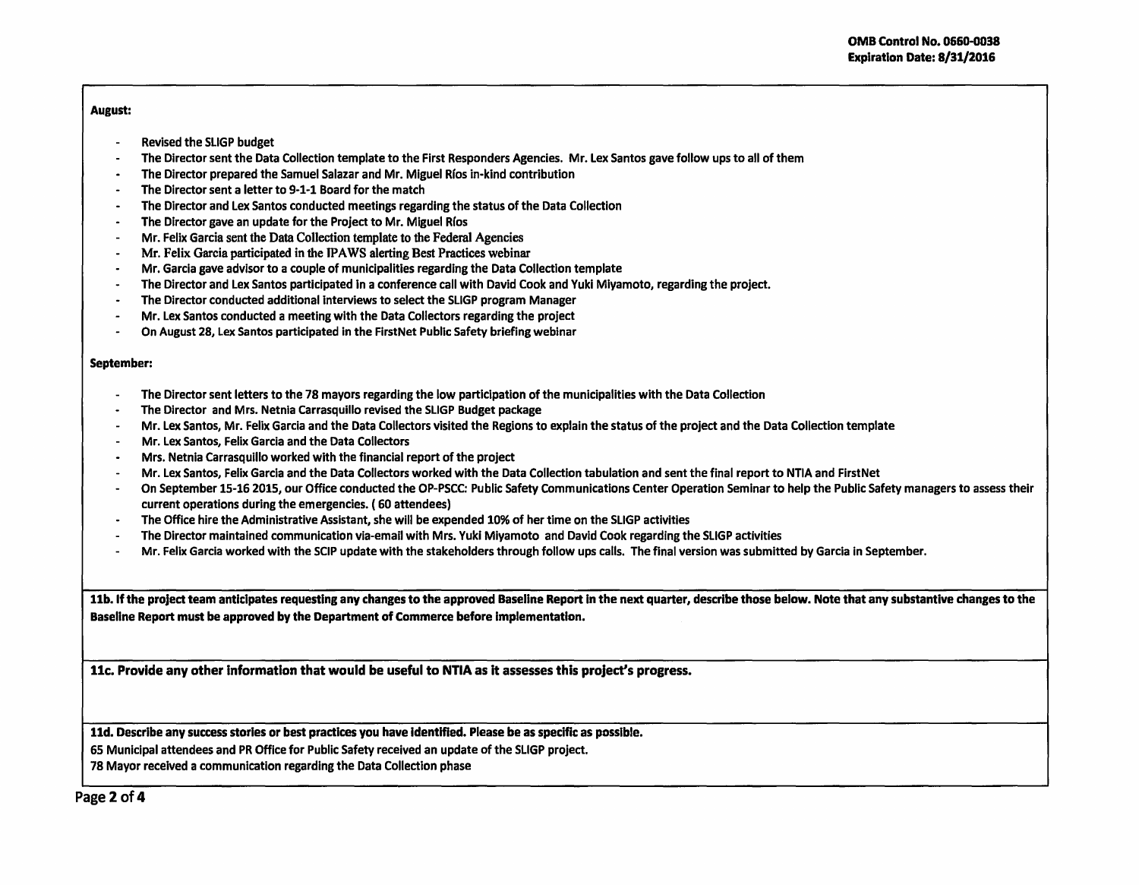## August:

- Revised the SLIGP budget
- The Director sent the Data Collection template to the First Responders Agencies. Mr. Lex Santos gave follow ups to all of them
- The Director prepared the Samuel Salazar and Mr. Miguel Rfos in-kind contribution  $\overline{\phantom{a}}$
- The Director sent a letter to 9-1-1 Board for the match
- The Director and Lex Santos conducted meetings regarding the status of the Data Collection  $\sim$
- The Director gave an update for the Project to Mr. Miguel Rfos  $\sim$
- Mr. Felix Garcia sent the Data Collection template to the Federal Agencies
- Mr. Felix Garcia participated in the *WA* WS alerting Best Practices webinar  $\sim$
- Mr. Garcia gave advisor to a couple of municipalities regarding the Data Collection template  $\blacksquare$
- The Director and Lex Santos participated in a conference call with David Cook and Yuki Miyamoto, regarding the project.  $\sim$
- The Director conducted additional interviews to select the SLIGP program Manager  $\bullet$
- Mr. Lex Santos conducted a meeting with the Data Collectors regarding the project  $\overline{\phantom{a}}$
- $\overline{a}$ On August 28, Lex Santos participated in the FirstNet Public Safety briefing webinar

## September:

- The Director sent letters to the 78 mayors regarding the low participation of the municipalities with the Data Collection
- The Director and Mrs. Netnia Carrasquillo revised the SLIGP Budget package
- Mr. Lex Santos, Mr. Felix Garcia and the Data Collectors visited the Regions to explain the status of the project and the Data Collection template
- Mr. Lex Santos, Felix Garcia and the Data Collectors
- Mrs. Netnla Carrasquillo worked with the financial report of the project
- Mr. Lex Santos, Felix Garcia and the Data Collectors worked with the Data Collection tabulation and sent the final report to NTIA and First Net
- On September 15-16 2015, our Office conducted the OP-PSCC: Public Safety Communications Center Operation Seminar to help the Public Safety managers to assess their current operations during the emergencies. ( 60 attendees)
- The Office hire the Administrative Assistant, she will be expended 10% of her time on the SLIGP activities
- The Director maintained communication via-email with Mrs. Yuki Miyamoto and David Cook regarding the SLIGP activities
- Mr. Felix Garcia worked with the SCIP update with the stakeholders through follow ups calls. The final version was submitted by Garcia in September.

11b. If the project team anticipates requesting any changes to the approved Baseline Report in the next quarter, describe those below. Note that any substantive changes to the Baseline Report must be approved by the Department of Commerce before implementation.

llc. Provide any other Information that would be useful to NTIA as it assesses this project's progress.

11d. Describe any success stories or best practices you have Identified. Please be as specific as possible.

65 Municipal attendees and PR Office for Public Safety received an update of the SLIGP project.

78 Mayor received a communication regarding the Data Collection phase

Page 2 of 4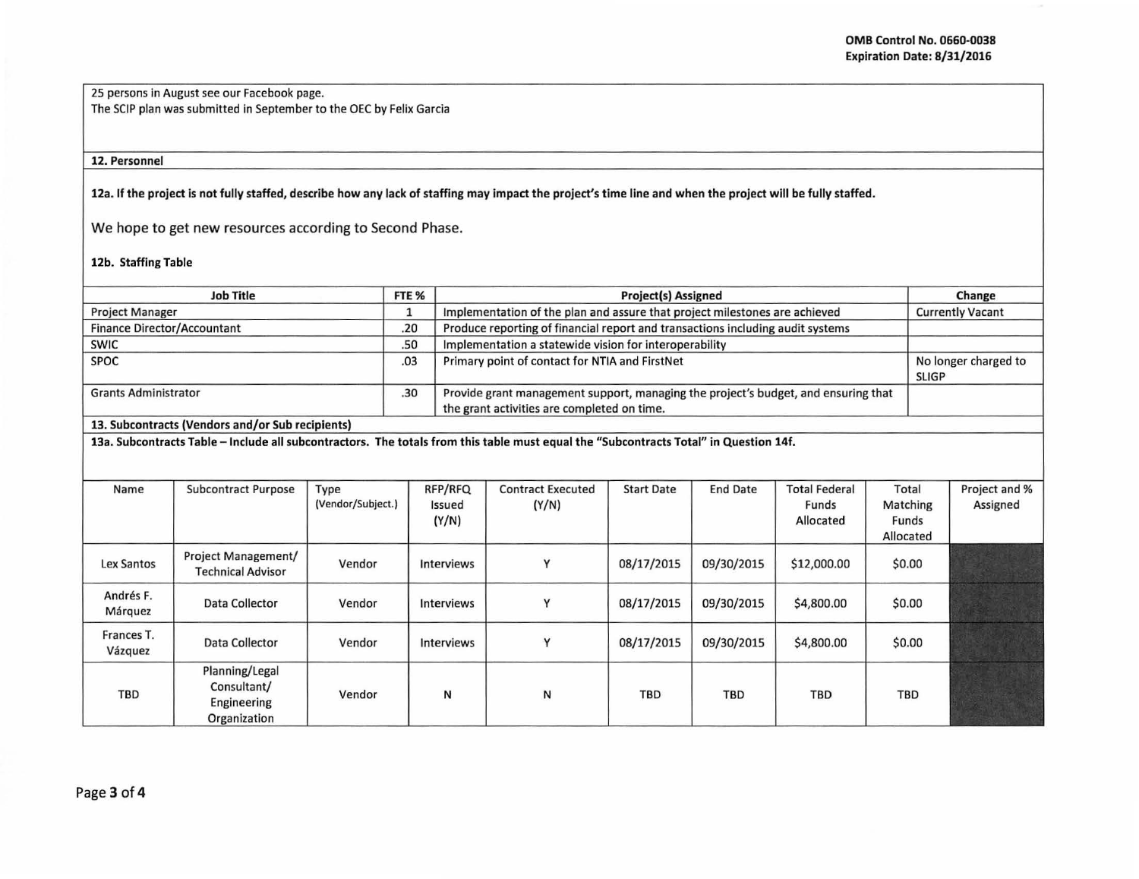25 persons in August see our Facebook page. The SCIP plan was submitted in September to the OEC by Felix Garcia

## 12. Personnel

12a. If the project is not fully staffed, describe how any lack of staffing may impact the project's time line and when the project will be fully staffed.

We hope to get new resources according to Second Phase.

## 12b. Staffing Table

|                                                                                                                                                                                           |                                                              | FTE <sub>%</sub>                                                           | <b>Project(s) Assigned</b> |                                                                                                                                   |                                                |                   |                 |                                            |                                         | Change     |                                      |  |
|-------------------------------------------------------------------------------------------------------------------------------------------------------------------------------------------|--------------------------------------------------------------|----------------------------------------------------------------------------|----------------------------|-----------------------------------------------------------------------------------------------------------------------------------|------------------------------------------------|-------------------|-----------------|--------------------------------------------|-----------------------------------------|------------|--------------------------------------|--|
| <b>Project Manager</b>                                                                                                                                                                    | 1                                                            | Implementation of the plan and assure that project milestones are achieved |                            |                                                                                                                                   |                                                |                   |                 | <b>Currently Vacant</b>                    |                                         |            |                                      |  |
| <b>Finance Director/Accountant</b>                                                                                                                                                        |                                                              | .20                                                                        |                            | Produce reporting of financial report and transactions including audit systems                                                    |                                                |                   |                 |                                            |                                         |            |                                      |  |
| <b>SWIC</b>                                                                                                                                                                               |                                                              | .50                                                                        |                            | Implementation a statewide vision for interoperability                                                                            |                                                |                   |                 |                                            |                                         |            |                                      |  |
| <b>SPOC</b>                                                                                                                                                                               |                                                              |                                                                            |                            |                                                                                                                                   | Primary point of contact for NTIA and FirstNet |                   |                 |                                            |                                         |            | No longer charged to<br><b>SLIGP</b> |  |
| <b>Grants Administrator</b>                                                                                                                                                               |                                                              |                                                                            |                            | Provide grant management support, managing the project's budget, and ensuring that<br>the grant activities are completed on time. |                                                |                   |                 |                                            |                                         |            |                                      |  |
|                                                                                                                                                                                           |                                                              |                                                                            |                            |                                                                                                                                   |                                                |                   |                 |                                            |                                         |            |                                      |  |
| 13. Subcontracts (Vendors and/or Sub recipients)<br>13a. Subcontracts Table - Include all subcontractors. The totals from this table must equal the "Subcontracts Total" in Question 14f. |                                                              |                                                                            |                            |                                                                                                                                   |                                                |                   |                 |                                            |                                         |            |                                      |  |
|                                                                                                                                                                                           |                                                              |                                                                            |                            |                                                                                                                                   |                                                |                   |                 |                                            |                                         |            |                                      |  |
| Name                                                                                                                                                                                      | <b>Subcontract Purpose</b>                                   | Type<br>(Vendor/Subject.)                                                  |                            | RFP/RFQ<br>Issued<br>(Y/N)                                                                                                        | <b>Contract Executed</b><br>(Y/N)              | <b>Start Date</b> | <b>End Date</b> | <b>Total Federal</b><br>Funds<br>Allocated | Total<br>Matching<br>Funds<br>Allocated |            | Project and %<br>Assigned            |  |
| Lex Santos                                                                                                                                                                                | Project Management/<br><b>Technical Advisor</b>              | Vendor                                                                     |                            | Interviews                                                                                                                        | Υ                                              | 08/17/2015        | 09/30/2015      | \$12,000.00                                |                                         | \$0.00     |                                      |  |
| Andrés F.<br>Márquez                                                                                                                                                                      | Data Collector                                               | Vendor                                                                     |                            | <b>Interviews</b>                                                                                                                 | Y                                              | 08/17/2015        | 09/30/2015      | \$4,800.00                                 |                                         | \$0.00     |                                      |  |
| Frances T.<br>Vázquez                                                                                                                                                                     | Data Collector                                               | Vendor                                                                     |                            | <b>Interviews</b>                                                                                                                 | Y                                              | 08/17/2015        | 09/30/2015      | \$4,800.00                                 |                                         | \$0.00     |                                      |  |
| <b>TBD</b>                                                                                                                                                                                | Planning/Legal<br>Consultant/<br>Engineering<br>Organization | Vendor                                                                     |                            | N                                                                                                                                 | N                                              | <b>TBD</b>        | <b>TBD</b>      | <b>TBD</b>                                 |                                         | <b>TBD</b> |                                      |  |